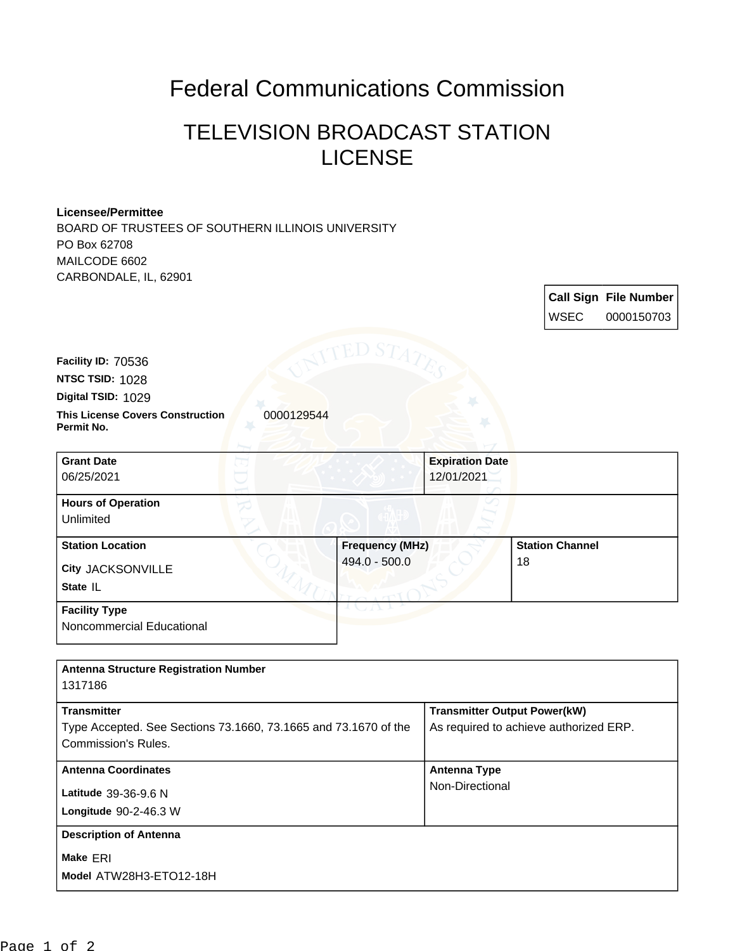## Federal Communications Commission

## TELEVISION BROADCAST STATION LICENSE

**Call Sign File Number**

## **Licensee/Permittee**

BOARD OF TRUSTEES OF SOUTHERN ILLINOIS UNIVERSITY PO Box 62708 MAILCODE 6602 CARBONDALE, IL, 62901

|                                                                                               |                        |                                        | <b>WSEC</b>            | 0000150703 |
|-----------------------------------------------------------------------------------------------|------------------------|----------------------------------------|------------------------|------------|
|                                                                                               | *ED S'                 |                                        |                        |            |
| Facility ID: 70536                                                                            |                        |                                        |                        |            |
| NTSC TSID: 1028                                                                               |                        |                                        |                        |            |
| Digital TSID: 1029                                                                            |                        |                                        |                        |            |
| <b>This License Covers Construction</b><br>0000129544<br>Permit No.                           |                        |                                        |                        |            |
| <b>Grant Date</b>                                                                             |                        | <b>Expiration Date</b>                 |                        |            |
| 06/25/2021                                                                                    |                        | 12/01/2021                             |                        |            |
| <b>Hours of Operation</b>                                                                     |                        |                                        |                        |            |
| Unlimited                                                                                     |                        |                                        |                        |            |
| <b>Station Location</b>                                                                       | <b>Frequency (MHz)</b> |                                        | <b>Station Channel</b> |            |
| <b>City JACKSONVILLE</b>                                                                      | 494.0 - 500.0          |                                        | 18                     |            |
| State IL                                                                                      |                        |                                        |                        |            |
| <b>Facility Type</b>                                                                          |                        |                                        |                        |            |
| Noncommercial Educational                                                                     |                        |                                        |                        |            |
|                                                                                               |                        |                                        |                        |            |
| <b>Antenna Structure Registration Number</b><br>1317186                                       |                        |                                        |                        |            |
| <b>Transmitter</b>                                                                            |                        | <b>Transmitter Output Power(kW)</b>    |                        |            |
| Type Accepted. See Sections 73.1660, 73.1665 and 73.1670 of the<br><b>Commission's Rules.</b> |                        | As required to achieve authorized ERP. |                        |            |
| <b>Antenna Coordinates</b>                                                                    |                        | <b>Antenna Type</b>                    |                        |            |
| Latitude 39-36-9.6 N                                                                          |                        | Non-Directional                        |                        |            |
| Longitude 90-2-46.3 W                                                                         |                        |                                        |                        |            |
| <b>Description of Antenna</b>                                                                 |                        |                                        |                        |            |
| Make ERI                                                                                      |                        |                                        |                        |            |
| Model ATW28H3-ETO12-18H                                                                       |                        |                                        |                        |            |